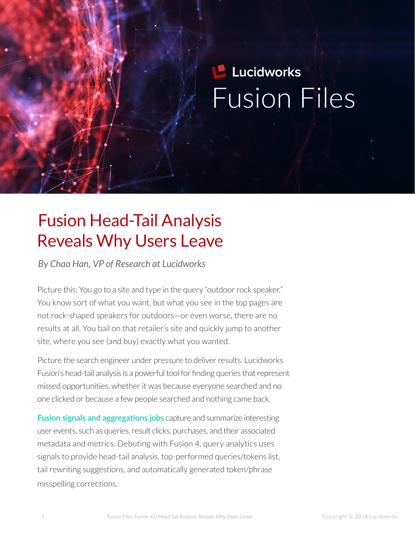# **Lucidworks Fusion Files**

## Fusion Head-Tail Analysis Reveals Why Users Leave

*By Chao Han, VP of Research at Lucidworks*

Picture this: You go to a site and type in the query "outdoor rock speaker." You know sort of what you want, but what you see in the top pages are not rock-shaped speakers for outdoors—or even worse, there are no results at all. You bail on that retailer's site and quickly jump to another site, where you see (and buy) exactly what you wanted.

Picture the search engineer under pressure to deliver results. Lucidworks Fusion's head-tail analysis is a powerful tool for fnding queries that represent missed opportunities, whether it was because everyone searched and no one clicked or because a few people searched and nothing came back.

**Fusion signals and aggregations jobs** capture and summarize interesting user events, such as queries, result clicks, purchases, and their associated metadata and metrics. Debuting with Fusion 4, query analytics uses signals to provide head-tail analysis, top-performed queries/tokens list, tail rewriting suggestions, and automatically generated token/phrase misspelling corrections.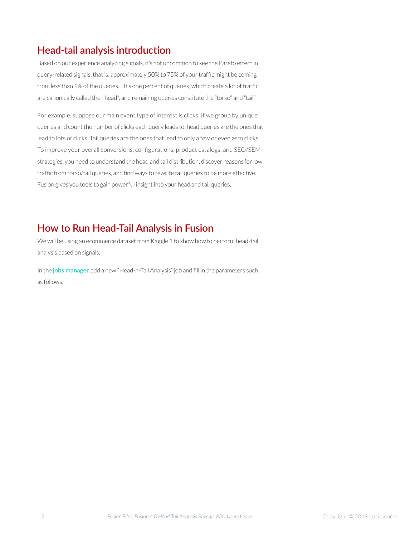### **Head-tail analysis introduction**

Based on our experience analyzing signals, it's not uncommon to see the Pareto effect in query-related signals, that is, approximately 50% to 75% of your traffc might be coming from less than 1% of the queries. This one percent of queries, which create a lot of traffc, are canonically called the " head", and remaining queries constitute the "torso" and "tail".

For example, suppose our main event type of interest is clicks. If we group by unique queries and count the number of clicks each query leads to, head queries are the ones that lead to lots of clicks. Tail queries are the ones that lead to only a few or even zero clicks. To improve your overall conversions, confgurations, product catalogs, and SEO/SEM strategies, you need to understand the head and tail distribution, discover reasons for low traffc from torso/tail queries, and fnd ways to rewrite tail queries to be more effective. Fusion gives you tools to gain powerful insight into your head and tail queries.

#### **How to Run Head-Tail Analysis in Fusion**

We will be using an ecommerce dataset from Kaggle 1 to show how to perform head-tail analysis based on signals.

In the **[jobs manager](https://doc.lucidworks.com/fusion-server/4.0/system-administration/jobs/index.html#the-jobs-manager)**, add a new "Head-n-Tail Analysis" job and fll in the parameters such as follows: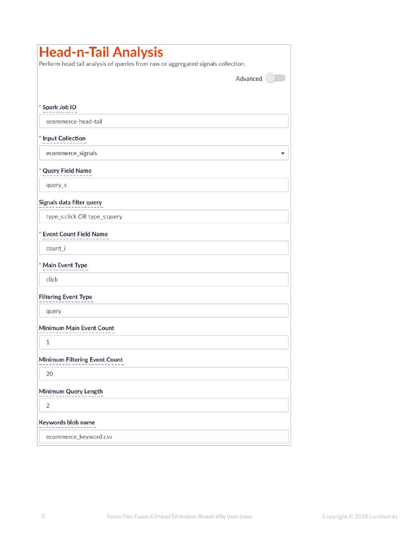| <b>Head-n-Tail Analysis</b>                                                      |
|----------------------------------------------------------------------------------|
| Perform head tail analysis of queries from raw or aggregated signals collection. |
| Advanced                                                                         |
| Spark Job ID                                                                     |
| ecommerce-head-tail                                                              |
| <b>Input Collection</b>                                                          |
| ecommerce_signals                                                                |
| <b>Query Field Name</b>                                                          |
| query_s                                                                          |
| Signals data filter query                                                        |
| type_s:click OR type_s:query                                                     |
| <b>Event Count Field Name</b>                                                    |
| count_i                                                                          |
| * Main Event Type                                                                |
| click                                                                            |
| <b>Filtering Event Type</b>                                                      |
| query                                                                            |
| Minimum Main Event Count                                                         |
| 1                                                                                |
| Minimum Filtering Event Count                                                    |
| 20                                                                               |
| Minimum Query Length                                                             |
| $\overline{2}$                                                                   |
| Keywords blob name                                                               |
| ecommerce_keyword.csv                                                            |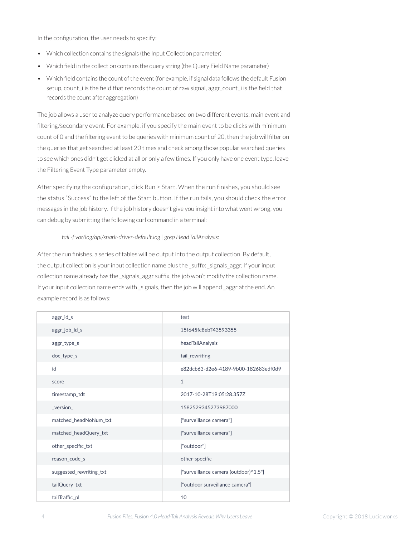In the confguration, the user needs to specify:

- Which collection contains the signals (the Input Collection parameter)
- Which feld in the collection contains the query string (the Query Field Name parameter)
- Which feld contains the count of the event (for example, if signal data follows the default Fusion setup, count\_i is the feld that records the count of raw signal, aggr\_count\_i is the feld that records the count after aggregation)

The job allows a user to analyze query performance based on two different events: main event and fltering/secondary event. For example, if you specify the main event to be clicks with minimum count of 0 and the fltering event to be queries with minimum count of 20, then the job will flter on the queries that get searched at least 20 times and check among those popular searched queries to see which ones didn't get clicked at all or only a few times. If you only have one event type, leave the Filtering Event Type parameter empty.

After specifying the configuration, click Run > Start. When the run finishes, you should see the status "Success" to the left of the Start button. If the run fails, you should check the error messages in the job history. If the job history doesn't give you insight into what went wrong, you can debug by submitting the following curl command in a terminal:

#### *tail -f var/log/api/spark-driver-default.log | grep HeadTailAnalysis:*

After the run fnishes, a series of tables will be output into the output collection. By default, the output collection is your input collection name plus the \_suffix \_signals\_aggr. If your input collection name already has the \_signals\_aggr suffx, the job won't modify the collection name. If your input collection name ends with signals, then the job will append saggr at the end. An example record is as follows:

| aggr_id_s               | test                                  |
|-------------------------|---------------------------------------|
| aggr_job_id_s           | 15f645fc8ebT43593355                  |
| aggr_type_s             | headTailAnalysis                      |
| doc_type_s              | tail_rewriting                        |
| id                      | e82dcb63-d2e6-4189-9b00-182683edf0d9  |
| score                   | $\mathbf{1}$                          |
| timestamp_tdt           | 2017-10-28T19:05:28.357Z              |
| version                 | 1582529345273987000                   |
| matched_headNoNum_txt   | ["surveillance camera"]               |
| matched_headQuery_txt   | ["surveillance camera"]               |
| other_specific_txt      | ["outdoor"]                           |
| reason_code_s           | other-specific                        |
| suggested_rewriting_txt | ["surveillance camera (outdoor)^1.5"] |
| tailQuery_txt           | ["outdoor surveillance camera"]       |
| tailTraffic_pl          | 10                                    |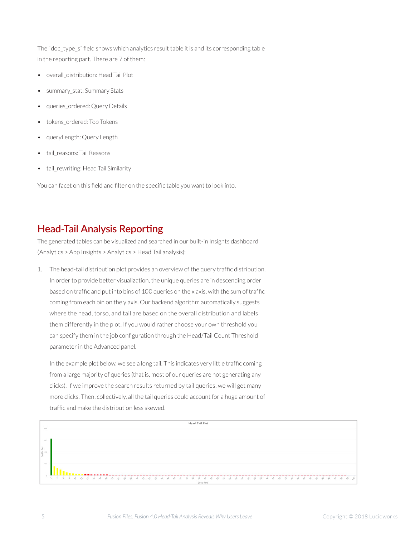The "doc\_type\_s" feld shows which analytics result table it is and its corresponding table in the reporting part. There are 7 of them:

- overall\_distribution: Head Tail Plot
- summary\_stat: Summary Stats
- queries\_ordered: Query Details
- tokens\_ordered: Top Tokens
- queryLength: Query Length
- tail reasons: Tail Reasons
- tail rewriting: Head Tail Similarity

You can facet on this feld and flter on the specifc table you want to look into.

#### **Head-Tail Analysis Reporting**

The generated tables can be visualized and searched in our built-in Insights dashboard (Analytics > App Insights > Analytics > Head Tail analysis):

1. The head-tail distribution plot provides an overview of the query traffc distribution. In order to provide better visualization, the unique queries are in descending order based on traffc and put into bins of 100 queries on the x axis, with the sum of traffc coming from each bin on the y axis. Our backend algorithm automatically suggests where the head, torso, and tail are based on the overall distribution and labels them differently in the plot. If you would rather choose your own threshold you can specify them in the job confguration through the Head/Tail Count Threshold parameter in the Advanced panel.

In the example plot below, we see a long tail. This indicates very little traffc coming from a large majority of queries (that is, most of our queries are not generating any clicks). If we improve the search results returned by tail queries, we will get many more clicks. Then, collectively, all the tail queries could account for a huge amount of traffc and make the distribution less skewed.

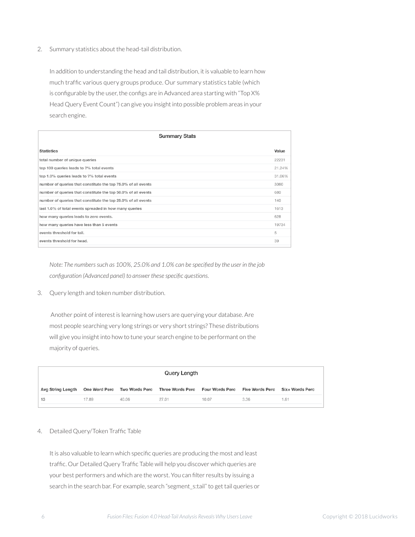2. Summary statistics about the head-tail distribution.

In addition to understanding the head and tail distribution, it is valuable to learn how much traffc various query groups produce. Our summary statistics table (which is confgurable by the user, the confgs are in Advanced area starting with "Top X% Head Query Event Count") can give you insight into possible problem areas in your search engine.

| <b>Summary Stats</b>                                          |        |  |  |  |
|---------------------------------------------------------------|--------|--|--|--|
| <b>Statistics</b>                                             | Value  |  |  |  |
| total number of unique queries                                | 22231  |  |  |  |
| top 100 queries leads to ?% total events                      | 21.24% |  |  |  |
| top 1.0% queries leads to ?% total events                     | 31.06% |  |  |  |
| number of queries that constitute the top 75.0% of all events | 3060   |  |  |  |
| number of queries that constitute the top 50.0% of all events | 680    |  |  |  |
| number of queries that constitute the top 25.0% of all events | 140    |  |  |  |
| last 1.0% of total events spreaded in how many queries        | 1613   |  |  |  |
| how many queries leads to zero events.                        | 628    |  |  |  |
| how many queries have less than 5 events                      | 19734  |  |  |  |
| events threshold for tail.                                    | 5      |  |  |  |
| events threshold for head.                                    | 39     |  |  |  |
|                                                               |        |  |  |  |

*Note: The numbers such as 100%, 25.0% and 1.0% can be specifed by the user in the job confguration (Advanced panel) to answer these specifc questions.*

3. Query length and token number distribution.

 Another point of interest is learning how users are querying your database. Are most people searching very long strings or very short strings? These distributions will give you insight into how to tune your search engine to be performant on the majority of queries.

|    |       |       | Query Length                                                                                                    |       |      |      |
|----|-------|-------|-----------------------------------------------------------------------------------------------------------------|-------|------|------|
|    |       |       | Avg String Length One Word Perc Two Words Perc Three Words Perc Four Words Perc Five Words Perc Six+ Words Perc |       |      |      |
| 13 | 17.89 | 40.06 | 27.01                                                                                                           | 10.07 | 3.36 | 1.61 |
|    |       |       |                                                                                                                 |       |      |      |

#### 4. Detailed Query/Token Traffc Table

It is also valuable to learn which specifc queries are producing the most and least traffc. Our Detailed Query Traffc Table will help you discover which queries are your best performers and which are the worst. You can flter results by issuing a search in the search bar. For example, search "segment\_s:tail" to get tail queries or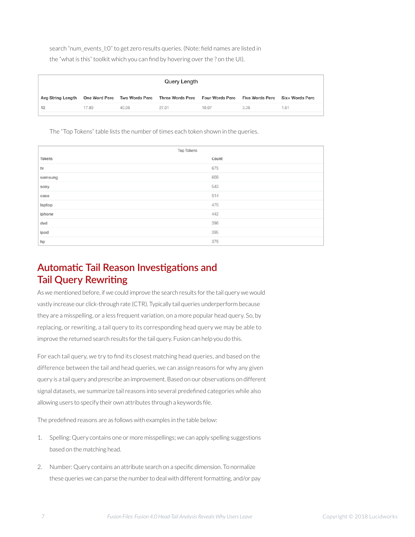search "num\_events\_l:0" to get zero results queries. (Note: feld names are listed in the "what is this" toolkit which you can fnd by hovering over the ? on the UI).

| Avg String Length One Word Perc Two Words Perc Three Words Perc Four Words Perc Five Words Perc |       |      | Six+ Words Perc |
|-------------------------------------------------------------------------------------------------|-------|------|-----------------|
| 13<br>17.89<br>27.01<br>40.06                                                                   | 10.07 | 3.36 | 1.61            |

The "Top Tokens" table lists the number of times each token shown in the queries.

|         | Top Tokens |
|---------|------------|
| Tokens  | Count      |
| tv      | 675        |
| samsung | 609        |
| sony    | 543        |
| case    | 514        |
| laptop  | 476        |
| iphone  | 442        |
| dvd     | 396        |
| ipod    | 395        |
| hp      | 376        |

#### **Automatic Tail Reason Investigations and Tail Query Rewritng**

As we mentioned before, if we could improve the search results for the tail query we would vastly increase our click-through rate (CTR). Typically tail queries underperform because they are a misspelling, or a less frequent variation, on a more popular head query. So, by replacing, or rewriting, a tail query to its corresponding head query we may be able to improve the returned search results for the tail query. Fusion can help you do this.

For each tail query, we try to fnd its closest matching head queries, and based on the difference between the tail and head queries, we can assign reasons for why any given query is a tail query and prescribe an improvement. Based on our observations on different signal datasets, we summarize tail reasons into several predefned categories while also allowing users to specify their own attributes through a keywords fle.

The predefned reasons are as follows with examples in the table below:

- 1. Spelling: Query contains one or more misspellings; we can apply spelling suggestions based on the matching head.
- 2. Number: Query contains an attribute search on a specifc dimension. To normalize these queries we can parse the number to deal with different formatting, and/or pay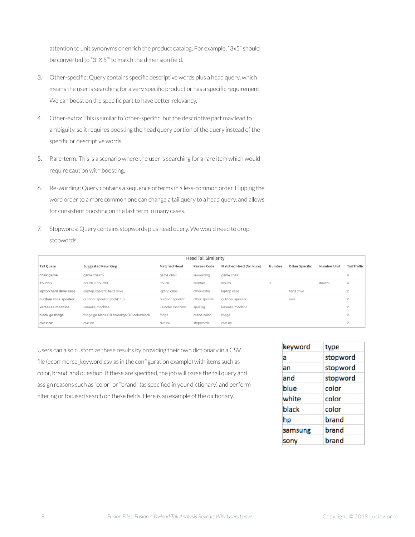attention to unit synonyms or enrich the product catalog. For example, "3x5" should be converted to "3' X 5'" to match the dimension feld.

- 3. Other-specifc: Query contains specifc descriptive words plus a head query, which means the user is searching for a very specifc product or has a specifc requirement. We can boost on the specifc part to have better relevancy.
- 4. Other-extra: This is similar to 'other-specifc' but the descriptive part may lead to ambiguity, so it requires boosting the head query portion of the query instead of the specifc or descriptive words.
- 5. Rare-term: This is a scenario where the user is searching for a rare item which would require caution with boosting.
- 6. Re-wording: Query contains a sequence of terms in a less-common order. Flipping the word order to a more common one can change a tail query to a head query, and allows for consistent boosting on the last term in many cases.
- 7. Stopwords: Query contains stopwords plus head query. We would need to drop stopwords.

|                        |                                            |                 | Head Tail Similarity |                       |        |                       |             |                     |
|------------------------|--------------------------------------------|-----------------|----------------------|-----------------------|--------|-----------------------|-------------|---------------------|
| <b>Tail Query</b>      | <b>Suggested Rewriting</b>                 | Matched Head    | <b>Reason Code</b>   | Matched Head (No Num) | Number | <b>Other Specific</b> | Number Unit | <b>Tail Traffic</b> |
| chair game             | game chair^2                               | game chair      | re-wording           | game chair            |        |                       |             | 6                   |
| itouch <sub>3</sub>    | itouch 3 itouch3                           | itouch          | number               | itouch                | 3      |                       | itouch3     | 4                   |
| laptop hard drive case | (laptop case)^2 hard drive                 | laptop case     | other-extra          | laptop case           |        | hard drive            |             | $\overline{c}$      |
| outdoor rock speaker   | outdoor speaker (rock)^1.5                 | outdoor speaker | other-specific       | outdoor speaker       |        | rock                  |             | $\mathfrak{p}$      |
| kareokee machine       | karaoke machine                            | karaoke machine | spelling             | karaoke machine       |        |                       |             | 2                   |
| black ge fridge        | fridge ge black OR brand:ge OR color:black | fridge          | brand color          | fridge                |        |                       |             | 2                   |
| dyd r rw               | dvd rw                                     | dvd rw          | stopwords            | dvd rw                |        |                       |             | 2                   |

Users can also customize these results by providing their own dictionary in a CSV fle (ecommerce\_keyword.csv as in the confguration example) with items such as color, brand, and question. If these are specifed, the job will parse the tail query and assign reasons such as "color" or "brand" (as specifed in your dictionary) and perform fltering or focused search on these felds. Here is an example of the dictionary.

| keyword | type     |
|---------|----------|
| a       | stopword |
| an      | stopword |
| and     | stopword |
| blue    | color    |
| white   | color    |
| black   | color    |
| hp      | brand    |
| samsung | brand    |
| sony    | brand    |